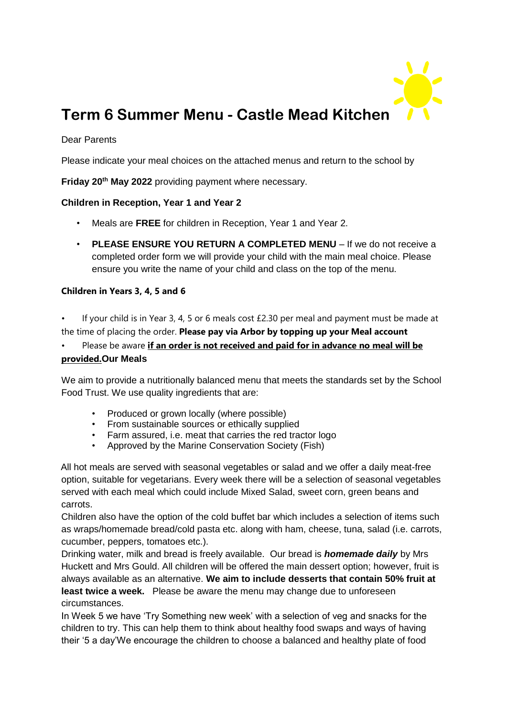

# **Term 6 Summer Menu - Castle Mead Kitchen**

#### Dear Parents

Please indicate your meal choices on the attached menus and return to the school by

**Friday 20th May 2022** providing payment where necessary.

#### **Children in Reception, Year 1 and Year 2**

- Meals are **FREE** for children in Reception, Year 1 and Year 2.
- **PLEASE ENSURE YOU RETURN A COMPLETED MENU** If we do not receive a completed order form we will provide your child with the main meal choice. Please ensure you write the name of your child and class on the top of the menu.

#### **Children in Years 3, 4, 5 and 6**

- If your child is in Year 3, 4, 5 or 6 meals cost £2.30 per meal and payment must be made at the time of placing the order. **Please pay via Arbor by topping up your Meal account**
- Please be aware **if an order is not received and paid for in advance no meal will be provided.Our Meals**

We aim to provide a nutritionally balanced menu that meets the standards set by the School Food Trust. We use quality ingredients that are:

- Produced or grown locally (where possible)
- From sustainable sources or ethically supplied
- Farm assured, i.e. meat that carries the red tractor logo
- Approved by the Marine Conservation Society (Fish)

All hot meals are served with seasonal vegetables or salad and we offer a daily meat-free option, suitable for vegetarians. Every week there will be a selection of seasonal vegetables served with each meal which could include Mixed Salad, sweet corn, green beans and carrots.

Children also have the option of the cold buffet bar which includes a selection of items such as wraps/homemade bread/cold pasta etc. along with ham, cheese, tuna, salad (i.e. carrots, cucumber, peppers, tomatoes etc.).

Drinking water, milk and bread is freely available. Our bread is *homemade daily* by Mrs Huckett and Mrs Gould. All children will be offered the main dessert option; however, fruit is always available as an alternative. **We aim to include desserts that contain 50% fruit at least twice a week.** Please be aware the menu may change due to unforeseen circumstances.

In Week 5 we have 'Try Something new week' with a selection of veg and snacks for the children to try. This can help them to think about healthy food swaps and ways of having their '5 a day'We encourage the children to choose a balanced and healthy plate of food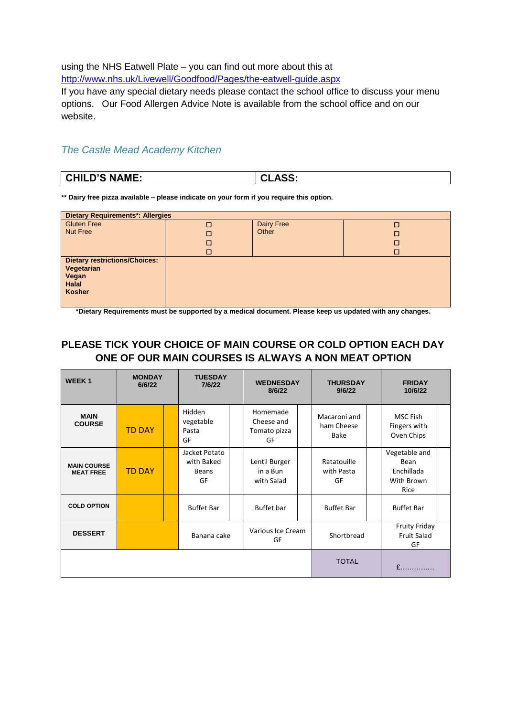using the NHS Eatwell Plate – you can find out more about this at <http://www.nhs.uk/Livewell/Goodfood/Pages/the-eatwell-guide.aspx>

If you have any special dietary needs please contact the school office to discuss your menu options. Our Food Allergen Advice Note is available from the school office and on our website.

### *The Castle Mead Academy Kitchen*

| CHILD'S NAME:<br><b>CLASS:</b> |  |
|--------------------------------|--|
|--------------------------------|--|

**\*\* Dairy free pizza available – please indicate on your form if you require this option.**

| <b>Dietary Requirements*: Allergies</b>                                                      |             |                     |             |  |  |  |  |
|----------------------------------------------------------------------------------------------|-------------|---------------------|-------------|--|--|--|--|
| <b>Gluten Free</b><br><b>Nut Free</b>                                                        | □<br>□<br>□ | Dairy Free<br>Other | П<br>□<br>□ |  |  |  |  |
|                                                                                              | □           |                     | □           |  |  |  |  |
| <b>Dietary restrictions/Choices:</b><br>Vegetarian<br>Vegan<br><b>Halal</b><br><b>Kosher</b> |             |                     |             |  |  |  |  |

**\*Dietary Requirements must be supported by a medical document. Please keep us updated with any changes.** 

## **PLEASE TICK YOUR CHOICE OF MAIN COURSE OR COLD OPTION EACH DAY ONE OF OUR MAIN COURSES IS ALWAYS A NON MEAT OPTION**

| <b>WEEK1</b>                           | <b>MONDAY</b><br>6/6/22 | <b>TUESDAY</b><br>7/6/22                   |  | <b>WEDNESDAY</b><br>8/6/22                   | <b>THURSDAY</b><br>9/6/22          | <b>FRIDAY</b><br>10/6/22                                  |  |
|----------------------------------------|-------------------------|--------------------------------------------|--|----------------------------------------------|------------------------------------|-----------------------------------------------------------|--|
| <b>MAIN</b><br><b>COURSE</b>           | <b>TD DAY</b>           | Hidden<br>vegetable<br>Pasta<br>GF         |  | Homemade<br>Cheese and<br>Tomato pizza<br>GF | Macaroni and<br>ham Cheese<br>Bake | MSC Fish<br>Fingers with<br>Oven Chips                    |  |
| <b>MAIN COURSE</b><br><b>MEAT FREE</b> | <b>TD DAY</b>           | Jacket Potato<br>with Baked<br>Beans<br>GF |  | Lentil Burger<br>in a Bun<br>with Salad      | Ratatouille<br>with Pasta<br>GF    | Vegetable and<br>Bean<br>Enchillada<br>With Brown<br>Rice |  |
| <b>COLD OPTION</b>                     |                         | <b>Buffet Bar</b>                          |  | Buffet bar                                   | <b>Buffet Bar</b>                  | <b>Buffet Bar</b>                                         |  |
| <b>DESSERT</b>                         |                         | Banana cake                                |  | Various Ice Cream<br>GF                      | Shortbread                         | <b>Fruity Friday</b><br><b>Fruit Salad</b><br>GF          |  |
|                                        |                         |                                            |  |                                              | <b>TOTAL</b>                       | $\mathbf{f}$<br><u>and the state of the state</u>         |  |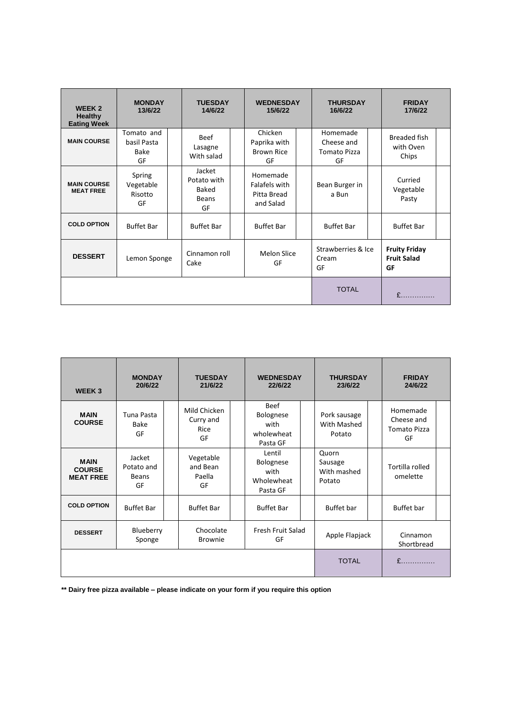| <b>WEEK2</b><br>Healthy<br><b>Eating Week</b> | <b>MONDAY</b><br>13/6/22                | <b>TUESDAY</b><br>14/6/22                     | <b>WEDNESDAY</b><br>15/6/22                           | <b>THURSDAY</b><br>16/6/22                          | <b>FRIDAY</b><br>17/6/22                         |
|-----------------------------------------------|-----------------------------------------|-----------------------------------------------|-------------------------------------------------------|-----------------------------------------------------|--------------------------------------------------|
| <b>MAIN COURSE</b>                            | Tomato and<br>basil Pasta<br>Bake<br>GF | <b>Beef</b><br>Lasagne<br>With salad          | Chicken<br>Paprika with<br><b>Brown Rice</b><br>GF    | Homemade<br>Cheese and<br><b>Tomato Pizza</b><br>GF | <b>Breaded fish</b><br>with Oven<br>Chips        |
| <b>MAIN COURSE</b><br><b>MEAT FREE</b>        | Spring<br>Vegetable<br>Risotto<br>GF    | Jacket<br>Potato with<br>Baked<br>Beans<br>GF | Homemade<br>Falafels with<br>Pitta Bread<br>and Salad | Bean Burger in<br>a Bun                             | Curried<br>Vegetable<br>Pasty                    |
| <b>COLD OPTION</b>                            | <b>Buffet Bar</b>                       | <b>Buffet Bar</b>                             | <b>Buffet Bar</b>                                     | <b>Buffet Bar</b>                                   | <b>Buffet Bar</b>                                |
| <b>DESSERT</b>                                | Lemon Sponge                            | Cinnamon roll<br>Cake                         | Melon Slice<br>GF                                     | Strawberries & Ice<br>Cream<br>GF                   | <b>Fruity Friday</b><br><b>Fruit Salad</b><br>GF |
|                                               |                                         | <b>TOTAL</b>                                  | $\mathbf{f}$ and $\mathbf{f}$                         |                                                     |                                                  |

| <b>WEEK3</b>                                     | <b>MONDAY</b><br>20/6/22            | <b>TUESDAY</b><br>21/6/22               | <b>WEDNESDAY</b><br>22/6/22                                | <b>THURSDAY</b><br>23/6/22                | <b>FRIDAY</b><br>24/6/22                            |
|--------------------------------------------------|-------------------------------------|-----------------------------------------|------------------------------------------------------------|-------------------------------------------|-----------------------------------------------------|
| <b>MAIN</b><br><b>COURSE</b>                     | Tuna Pasta<br>Bake<br>GF            | Mild Chicken<br>Curry and<br>Rice<br>GF | <b>Beef</b><br>Bolognese<br>with<br>wholewheat<br>Pasta GF | Pork sausage<br>With Mashed<br>Potato     | Homemade<br>Cheese and<br><b>Tomato Pizza</b><br>GF |
| <b>MAIN</b><br><b>COURSE</b><br><b>MEAT FREE</b> | Jacket<br>Potato and<br>Beans<br>GF | Vegetable<br>and Bean<br>Paella<br>GF   | Lentil<br>Bolognese<br>with<br>Wholewheat<br>Pasta GF      | Quorn<br>Sausage<br>With mashed<br>Potato | Tortilla rolled<br>omelette                         |
| <b>COLD OPTION</b>                               | <b>Buffet Bar</b>                   | <b>Buffet Bar</b>                       | <b>Buffet Bar</b>                                          | <b>Buffet</b> bar                         | Buffet bar                                          |
| <b>DESSERT</b>                                   | Blueberry<br>Sponge                 | Chocolate<br><b>Brownie</b>             | Fresh Fruit Salad<br>GF                                    | Apple Flapjack                            | Cinnamon<br>Shortbread                              |
|                                                  |                                     |                                         |                                                            | <b>TOTAL</b>                              |                                                     |

**\*\* Dairy free pizza available – please indicate on your form if you require this option**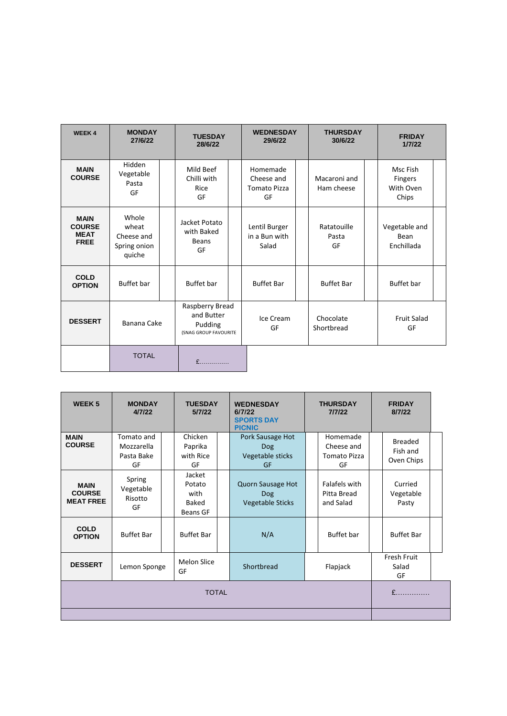| <b>WEEK4</b>                                               | <b>MONDAY</b><br>27/6/22                               | <b>TUESDAY</b><br>28/6/22                                         | <b>WEDNESDAY</b><br>29/6/22                         | <b>THURSDAY</b><br>30/6/22 | <b>FRIDAY</b><br>1/7/22                          |
|------------------------------------------------------------|--------------------------------------------------------|-------------------------------------------------------------------|-----------------------------------------------------|----------------------------|--------------------------------------------------|
| <b>MAIN</b><br><b>COURSE</b>                               | Hidden<br>Vegetable<br>Pasta<br>GF                     | Mild Beef<br>Chilli with<br>Rice<br>GF                            | Homemade<br>Cheese and<br><b>Tomato Pizza</b><br>GF | Macaroni and<br>Ham cheese | Msc Fish<br><b>Fingers</b><br>With Oven<br>Chips |
| <b>MAIN</b><br><b>COURSE</b><br><b>MEAT</b><br><b>FREE</b> | Whole<br>wheat<br>Cheese and<br>Spring onion<br>quiche | Jacket Potato<br>with Baked<br><b>Beans</b><br>GF                 | Lentil Burger<br>in a Bun with<br>Salad             | Ratatouille<br>Pasta<br>GF | Vegetable and<br>Bean<br>Enchillada              |
| <b>COLD</b><br><b>OPTION</b>                               | <b>Buffet</b> bar                                      | <b>Buffet</b> bar                                                 | <b>Buffet Bar</b>                                   | <b>Buffet Bar</b>          | <b>Buffet</b> bar                                |
| <b>DESSERT</b>                                             | Banana Cake                                            | Raspberry Bread<br>and Butter<br>Pudding<br>(SNAG GROUP FAVOURITE | Ice Cream<br>GF                                     | Chocolate<br>Shortbread    | <b>Fruit Salad</b><br>GF                         |
|                                                            | <b>TOTAL</b>                                           | $\mathbf{f}$ and $\mathbf{f}$                                     |                                                     |                            |                                                  |

| <b>WEEK5</b>                                     | <b>MONDAY</b><br>4/7/22                                   | <b>WEDNESDAY</b><br><b>TUESDAY</b><br><b>THURSDAY</b><br>5/7/22<br>7/7/22<br>6/7/22<br><b>SPORTS DAY</b><br><b>PICNIC</b> |                                                            | <b>FRIDAY</b><br>8/7/22                      |                                          |  |
|--------------------------------------------------|-----------------------------------------------------------|---------------------------------------------------------------------------------------------------------------------------|------------------------------------------------------------|----------------------------------------------|------------------------------------------|--|
| <b>MAIN</b><br><b>COURSE</b>                     | Tomato and<br>Mozzarella<br>Pasta Bake<br>GF              | Chicken<br>Paprika<br>with Rice<br>GF                                                                                     | Pork Sausage Hot<br>Dog<br>Vegetable sticks<br>GF          | Homemade<br>Cheese and<br>Tomato Pizza<br>GF | <b>Breaded</b><br>Fish and<br>Oven Chips |  |
| <b>MAIN</b><br><b>COURSE</b><br><b>MEAT FREE</b> | Spring<br>Vegetable<br>Risotto<br>GF                      | Jacket<br>Potato<br>with<br><b>Baked</b><br><b>Beans GF</b>                                                               | Quorn Sausage Hot<br><b>Dog</b><br><b>Vegetable Sticks</b> | Falafels with<br>Pitta Bread<br>and Salad    | Curried<br>Vegetable<br>Pasty            |  |
| <b>COLD</b><br><b>OPTION</b>                     | <b>Buffet Bar</b>                                         | <b>Buffet Bar</b>                                                                                                         | N/A                                                        | <b>Buffet</b> bar                            | <b>Buffet Bar</b>                        |  |
| <b>DESSERT</b>                                   | Lemon Sponge                                              | <b>Melon Slice</b><br>GF                                                                                                  | Shortbread                                                 | Flapjack                                     | Fresh Fruit<br>Salad<br>GF               |  |
|                                                  | $f$ <sub>1111</sub> , 11 <sub>11</sub> , 11 <sub>11</sub> |                                                                                                                           |                                                            |                                              |                                          |  |
|                                                  |                                                           |                                                                                                                           |                                                            |                                              |                                          |  |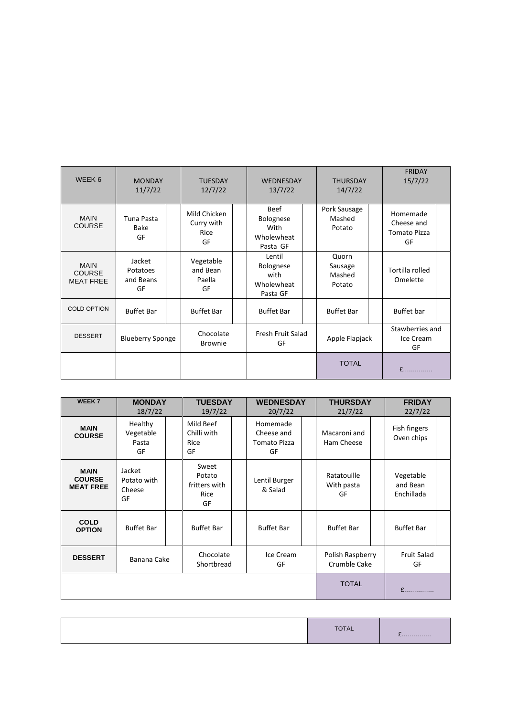| WEEK 6                                           | <b>MONDAY</b><br>11/7/22              | <b>TUESDAY</b><br>12/7/22                | <b>WEDNESDAY</b><br>13/7/22                                  | <b>THURSDAY</b><br>14/7/22           | <b>FRIDAY</b><br>15/7/22                            |
|--------------------------------------------------|---------------------------------------|------------------------------------------|--------------------------------------------------------------|--------------------------------------|-----------------------------------------------------|
| <b>MAIN</b><br><b>COURSE</b>                     | Tuna Pasta<br>Bake<br>GF              | Mild Chicken<br>Curry with<br>Rice<br>GF | Beef<br>Bolognese<br>With<br>Wholewheat<br>Pasta GF          | Pork Sausage<br>Mashed<br>Potato     | Homemade<br>Cheese and<br><b>Tomato Pizza</b><br>GF |
| <b>MAIN</b><br><b>COURSE</b><br><b>MEAT FREE</b> | Jacket<br>Potatoes<br>and Beans<br>GF | Vegetable<br>and Bean<br>Paella<br>GF    | Lentil<br><b>Bolognese</b><br>with<br>Wholewheat<br>Pasta GF | Quorn<br>Sausage<br>Mashed<br>Potato | Tortilla rolled<br>Omelette                         |
| <b>COLD OPTION</b>                               | <b>Buffet Bar</b>                     | <b>Buffet Bar</b>                        | <b>Buffet Bar</b>                                            | <b>Buffet Bar</b>                    | Buffet bar                                          |
| <b>DESSERT</b>                                   | <b>Blueberry Sponge</b>               | Chocolate<br><b>Brownie</b>              | Fresh Fruit Salad<br>GF                                      | Apple Flapjack                       | Stawberries and<br>Ice Cream<br>GF                  |
|                                                  |                                       |                                          |                                                              | <b>TOTAL</b>                         | $f$                                                 |

| <b>WEEK7</b>                                     | <b>MONDAY</b><br>18/7/22              | <b>TUESDAY</b><br>19/7/22                      |  | <b>WEDNESDAY</b><br>20/7/22                         |             | <b>THURSDAY</b><br>21/7/22       | <b>FRIDAY</b><br>22/7/22            |  |
|--------------------------------------------------|---------------------------------------|------------------------------------------------|--|-----------------------------------------------------|-------------|----------------------------------|-------------------------------------|--|
| <b>MAIN</b><br><b>COURSE</b>                     | Healthy<br>Vegetable<br>Pasta<br>GF   | Mild Beef<br>Chilli with<br>Rice<br>GF         |  | Homemade<br>Cheese and<br><b>Tomato Pizza</b><br>GF |             | Macaroni and<br>Ham Cheese       | Fish fingers<br>Oven chips          |  |
| <b>MAIN</b><br><b>COURSE</b><br><b>MEAT FREE</b> | Jacket<br>Potato with<br>Cheese<br>GF | Sweet<br>Potato<br>fritters with<br>Rice<br>GF |  | Lentil Burger<br>& Salad                            |             | Ratatouille<br>With pasta<br>GF  | Vegetable<br>and Bean<br>Enchillada |  |
| <b>COLD</b><br><b>OPTION</b>                     | <b>Buffet Bar</b>                     | <b>Buffet Bar</b>                              |  | <b>Buffet Bar</b>                                   |             | <b>Buffet Bar</b>                | <b>Buffet Bar</b>                   |  |
| <b>DESSERT</b>                                   | Banana Cake                           | Chocolate<br>Shortbread                        |  | Ice Cream<br>GF                                     |             | Polish Raspberry<br>Crumble Cake | <b>Fruit Salad</b><br>GF            |  |
|                                                  |                                       |                                                |  | <b>TOTAL</b>                                        | $f$ and $f$ |                                  |                                     |  |

|  | $\overline{ }$ | <u>.</u> |
|--|----------------|----------|
|--|----------------|----------|